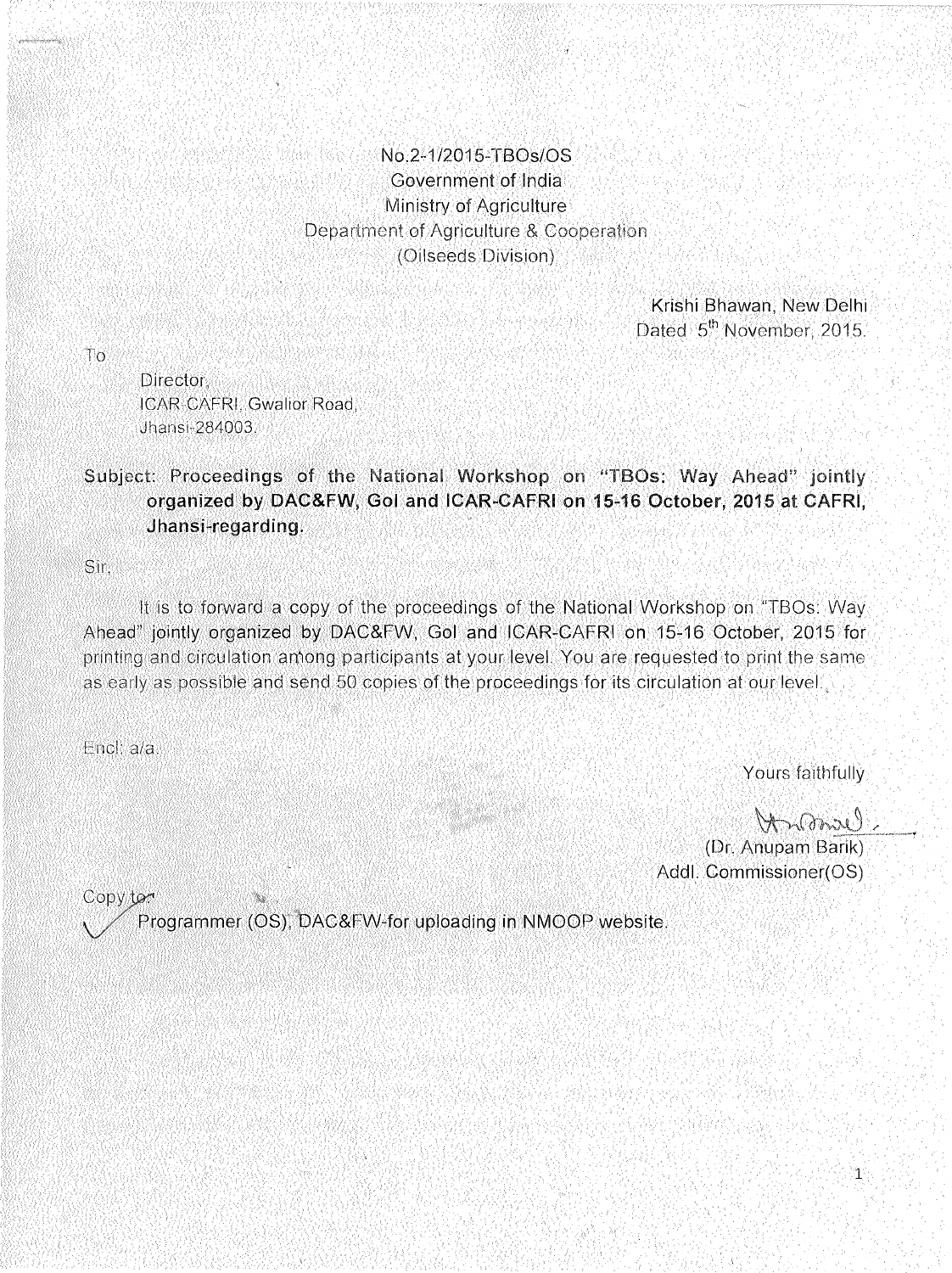### No.2-1/2015-TBOs/OS Government of India Ministry of Agriculture Department of Agriculture & Cooperation (Oilseeds Division)

Krishi Bhawan, New Delhi. Dated 5<sup>th</sup> November 2015.

ിറ

**Director** ICAR-CAFRI, Gwalior Road, Jhansi-284003.

## Subject: Proceedings of the National Workshop on "TBOs: Way Ahead" jointly organized by DAC&FW, Gol and ICAR-CAFRI on 15-16 October, 2015 at CAFRI, Jhansi-regarding.

Sir.

It is to forward a copy of the proceedings of the National Workshop on "TBOs: Way Ahead" jointly organized by DAC&FW, Gol and ICAR-CAFRI on 15-16 October, 2015 for printing and circulation among participants at your level. You are requested to print the same as early as possible and send 50 copies of the proceedings for its circulation at our level.

Encl. a/a.

Yours faithfully

 $\mathbf{1}^{\circ}$ 

Cleropold (Dr. Anupam Barik) Addl. Commissioner(OS)

Copy to

Programmer (OS), DAC&FW-for uploading in NMOOP website.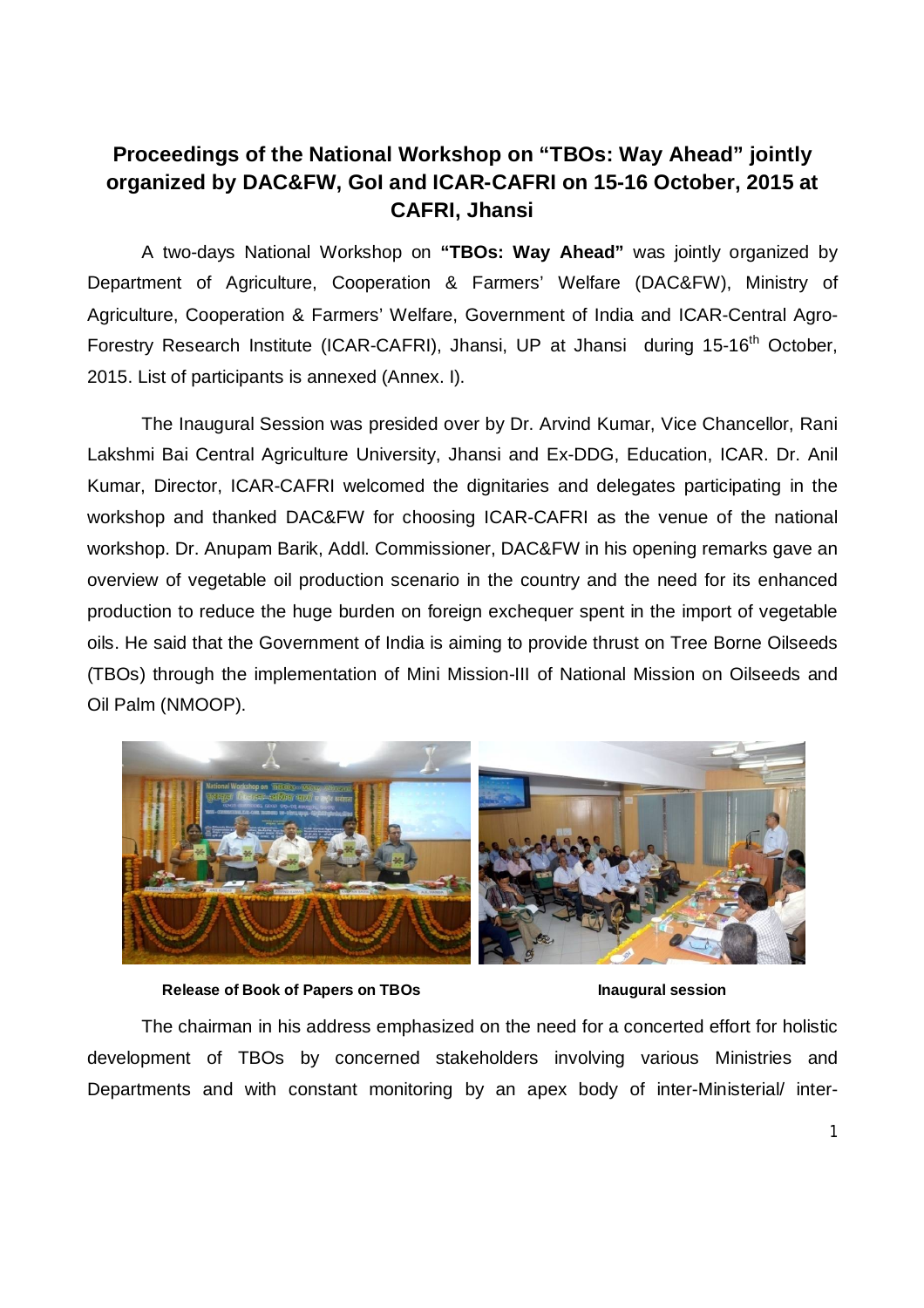# **Proceedings of the National Workshop on "TBOs: Way Ahead" jointly organized by DAC&FW, GoI and ICAR-CAFRI on 15-16 October, 2015 at CAFRI, Jhansi**

A two-days National Workshop on **"TBOs: Way Ahead"** was jointly organized by Department of Agriculture, Cooperation & Farmers' Welfare (DAC&FW), Ministry of Agriculture, Cooperation & Farmers' Welfare, Government of India and ICAR-Central Agro-Forestry Research Institute (ICAR-CAFRI), Jhansi, UP at Jhansi during 15-16<sup>th</sup> October, 2015. List of participants is annexed (Annex. I).

The Inaugural Session was presided over by Dr. Arvind Kumar, Vice Chancellor, Rani Lakshmi Bai Central Agriculture University, Jhansi and Ex-DDG, Education, ICAR. Dr. Anil Kumar, Director, ICAR-CAFRI welcomed the dignitaries and delegates participating in the workshop and thanked DAC&FW for choosing ICAR-CAFRI as the venue of the national workshop. Dr. Anupam Barik, Addl. Commissioner, DAC&FW in his opening remarks gave an overview of vegetable oil production scenario in the country and the need for its enhanced production to reduce the huge burden on foreign exchequer spent in the import of vegetable oils. He said that the Government of India is aiming to provide thrust on Tree Borne Oilseeds (TBOs) through the implementation of Mini Mission-III of National Mission on Oilseeds and Oil Palm (NMOOP).



 **Release of Book of Papers on TBOs Inaugural session**

The chairman in his address emphasized on the need for a concerted effort for holistic development of TBOs by concerned stakeholders involving various Ministries and Departments and with constant monitoring by an apex body of inter-Ministerial/ inter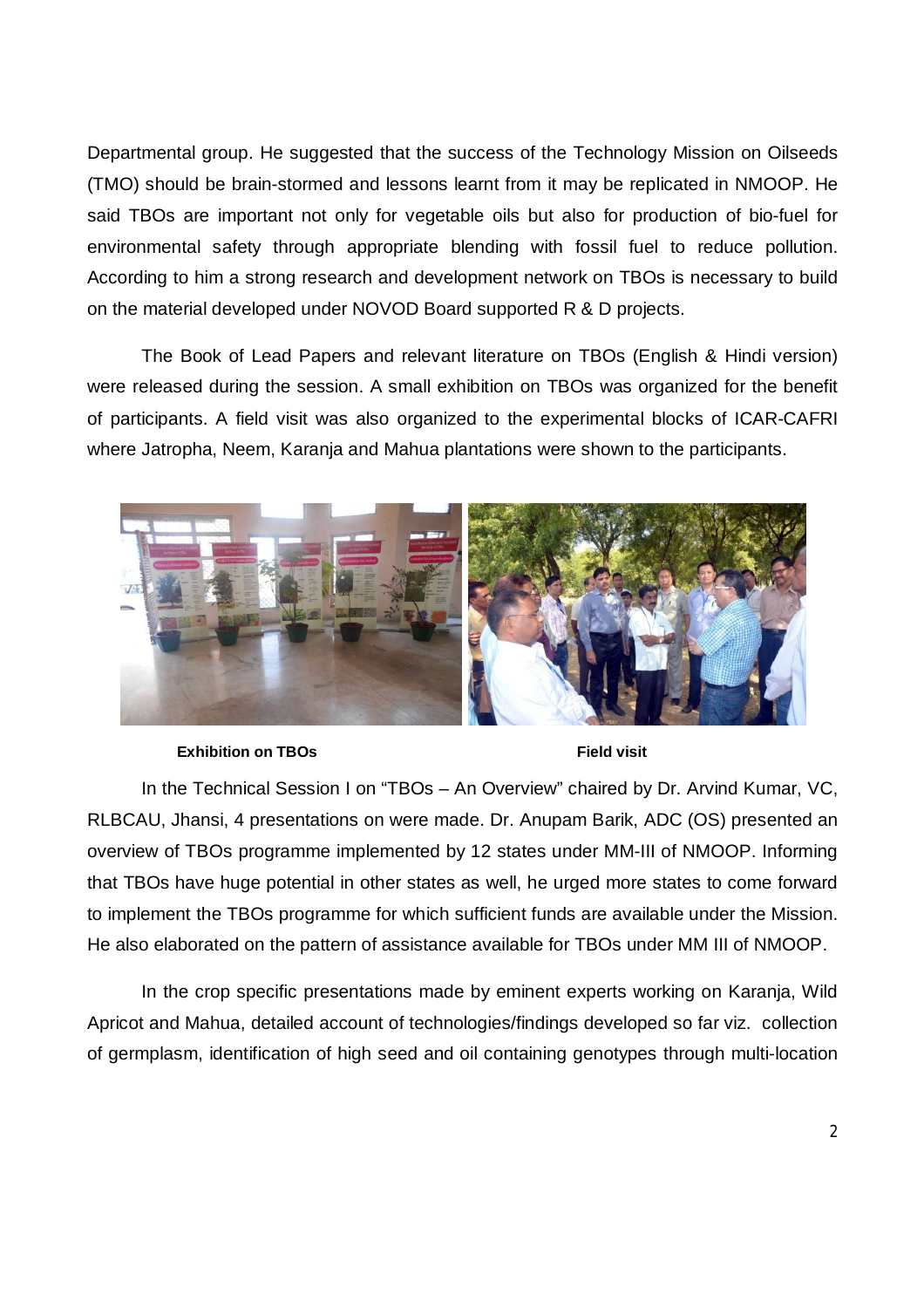Departmental group. He suggested that the success of the Technology Mission on Oilseeds (TMO) should be brain-stormed and lessons learnt from it may be replicated in NMOOP. He said TBOs are important not only for vegetable oils but also for production of bio-fuel for environmental safety through appropriate blending with fossil fuel to reduce pollution. According to him a strong research and development network on TBOs is necessary to build on the material developed under NOVOD Board supported R & D projects.

The Book of Lead Papers and relevant literature on TBOs (English & Hindi version) were released during the session. A small exhibition on TBOs was organized for the benefit of participants. A field visit was also organized to the experimental blocks of ICAR-CAFRI where Jatropha, Neem, Karanja and Mahua plantations were shown to the participants.



**Exhibition on TBOs Field visit** 

In the Technical Session I on "TBOs – An Overview" chaired by Dr. Arvind Kumar, VC, RLBCAU, Jhansi, 4 presentations on were made. Dr. Anupam Barik, ADC (OS) presented an overview of TBOs programme implemented by 12 states under MM-III of NMOOP. Informing that TBOs have huge potential in other states as well, he urged more states to come forward to implement the TBOs programme for which sufficient funds are available under the Mission. He also elaborated on the pattern of assistance available for TBOs under MM III of NMOOP.

In the crop specific presentations made by eminent experts working on Karanja, Wild Apricot and Mahua, detailed account of technologies/findings developed so far viz. collection of germplasm, identification of high seed and oil containing genotypes through multi-location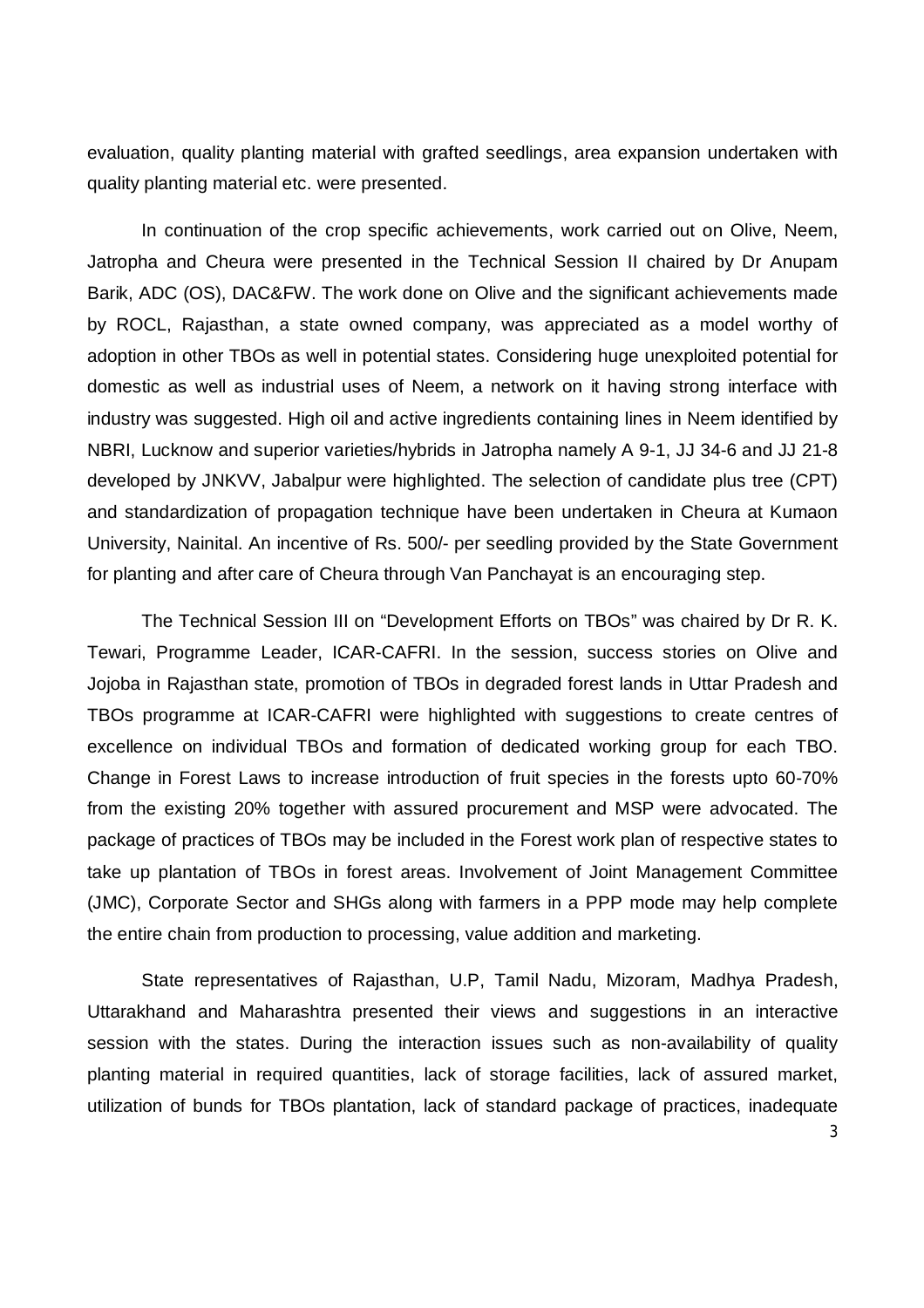evaluation, quality planting material with grafted seedlings, area expansion undertaken with quality planting material etc. were presented.

In continuation of the crop specific achievements, work carried out on Olive, Neem, Jatropha and Cheura were presented in the Technical Session II chaired by Dr Anupam Barik, ADC (OS), DAC&FW. The work done on Olive and the significant achievements made by ROCL, Rajasthan, a state owned company, was appreciated as a model worthy of adoption in other TBOs as well in potential states. Considering huge unexploited potential for domestic as well as industrial uses of Neem, a network on it having strong interface with industry was suggested. High oil and active ingredients containing lines in Neem identified by NBRI, Lucknow and superior varieties/hybrids in Jatropha namely A 9-1, JJ 34-6 and JJ 21-8 developed by JNKVV, Jabalpur were highlighted. The selection of candidate plus tree (CPT) and standardization of propagation technique have been undertaken in Cheura at Kumaon University, Nainital. An incentive of Rs. 500/- per seedling provided by the State Government for planting and after care of Cheura through Van Panchayat is an encouraging step.

The Technical Session III on "Development Efforts on TBOs" was chaired by Dr R. K. Tewari, Programme Leader, ICAR-CAFRI. In the session, success stories on Olive and Jojoba in Rajasthan state, promotion of TBOs in degraded forest lands in Uttar Pradesh and TBOs programme at ICAR-CAFRI were highlighted with suggestions to create centres of excellence on individual TBOs and formation of dedicated working group for each TBO. Change in Forest Laws to increase introduction of fruit species in the forests upto 60-70% from the existing 20% together with assured procurement and MSP were advocated. The package of practices of TBOs may be included in the Forest work plan of respective states to take up plantation of TBOs in forest areas. Involvement of Joint Management Committee (JMC), Corporate Sector and SHGs along with farmers in a PPP mode may help complete the entire chain from production to processing, value addition and marketing.

State representatives of Rajasthan, U.P, Tamil Nadu, Mizoram, Madhya Pradesh, Uttarakhand and Maharashtra presented their views and suggestions in an interactive session with the states. During the interaction issues such as non-availability of quality planting material in required quantities, lack of storage facilities, lack of assured market, utilization of bunds for TBOs plantation, lack of standard package of practices, inadequate

3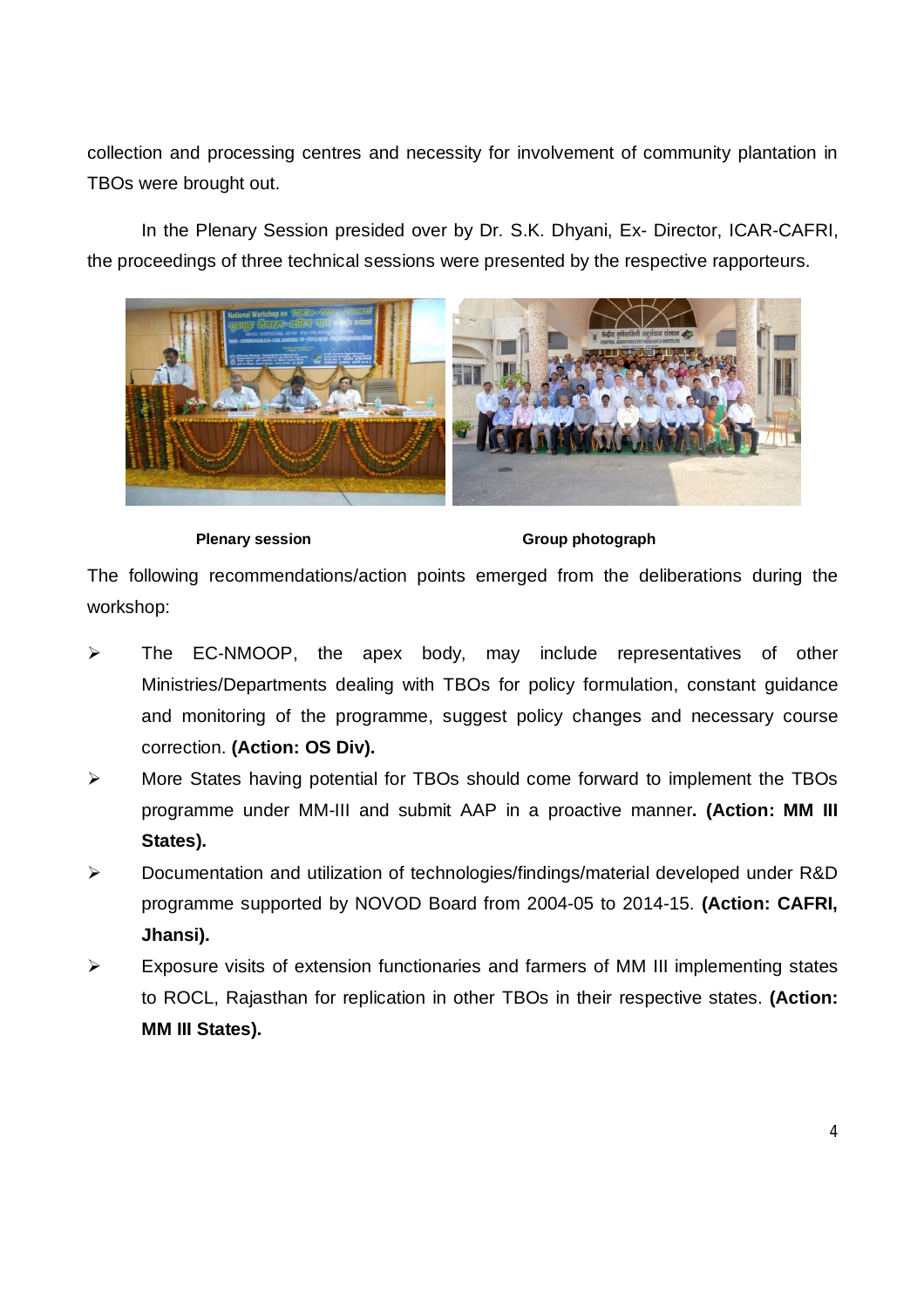collection and processing centres and necessity for involvement of community plantation in TBOs were brought out.

In the Plenary Session presided over by Dr. S.K. Dhyani, Ex- Director, ICAR-CAFRI, the proceedings of three technical sessions were presented by the respective rapporteurs.



**Plenary session** Group photograph

The following recommendations/action points emerged from the deliberations during the workshop:

- The EC-NMOOP, the apex body, may include representatives of other Ministries/Departments dealing with TBOs for policy formulation, constant guidance and monitoring of the programme, suggest policy changes and necessary course correction. **(Action: OS Div).**
- More States having potential for TBOs should come forward to implement the TBOs programme under MM-III and submit AAP in a proactive manner**. (Action: MM III States).**
- Documentation and utilization of technologies/findings/material developed under R&D programme supported by NOVOD Board from 2004-05 to 2014-15. **(Action: CAFRI, Jhansi).**
- $\triangleright$  Exposure visits of extension functionaries and farmers of MM III implementing states to ROCL, Rajasthan for replication in other TBOs in their respective states. **(Action: MM III States).**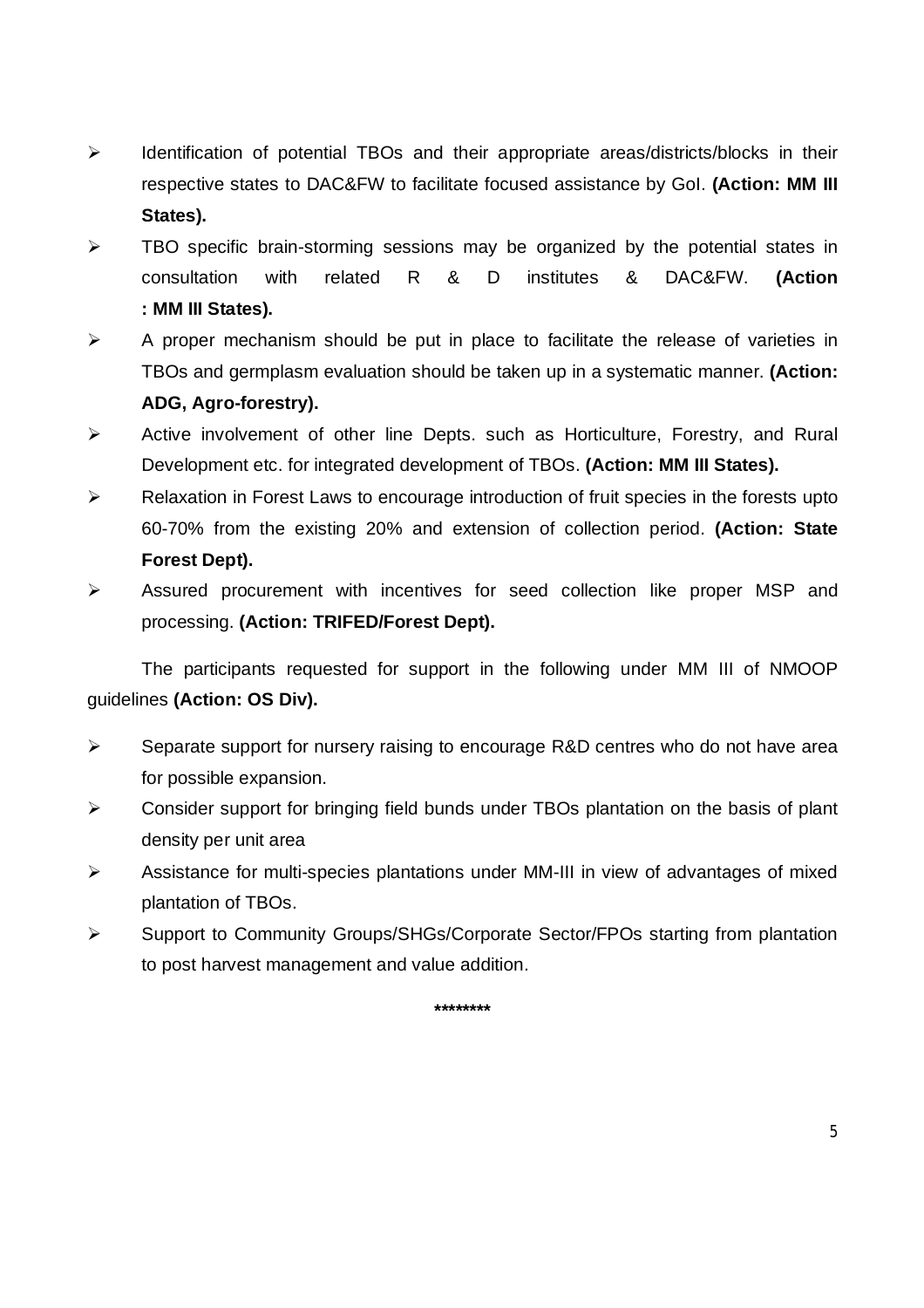- $\triangleright$  Identification of potential TBOs and their appropriate areas/districts/blocks in their respective states to DAC&FW to facilitate focused assistance by GoI. **(Action: MM III States).**
- $\triangleright$  TBO specific brain-storming sessions may be organized by the potential states in consultation with related R & D institutes & DAC&FW. **(Action : MM III States).**
- $\triangleright$  A proper mechanism should be put in place to facilitate the release of varieties in TBOs and germplasm evaluation should be taken up in a systematic manner. **(Action: ADG, Agro-forestry).**
- $\triangleright$  Active involvement of other line Depts, such as Horticulture, Forestry, and Rural Development etc. for integrated development of TBOs. **(Action: MM III States).**
- $\triangleright$  Relaxation in Forest Laws to encourage introduction of fruit species in the forests upto 60-70% from the existing 20% and extension of collection period. **(Action: State Forest Dept).**
- $\triangleright$  Assured procurement with incentives for seed collection like proper MSP and processing. **(Action: TRIFED/Forest Dept).**

The participants requested for support in the following under MM III of NMOOP guidelines **(Action: OS Div).**

- $\triangleright$  Separate support for nursery raising to encourage R&D centres who do not have area for possible expansion.
- $\triangleright$  Consider support for bringing field bunds under TBOs plantation on the basis of plant density per unit area
- Assistance for multi-species plantations under MM-III in view of advantages of mixed plantation of TBOs.
- Support to Community Groups/SHGs/Corporate Sector/FPOs starting from plantation to post harvest management and value addition.

**\*\*\*\*\*\*\*\***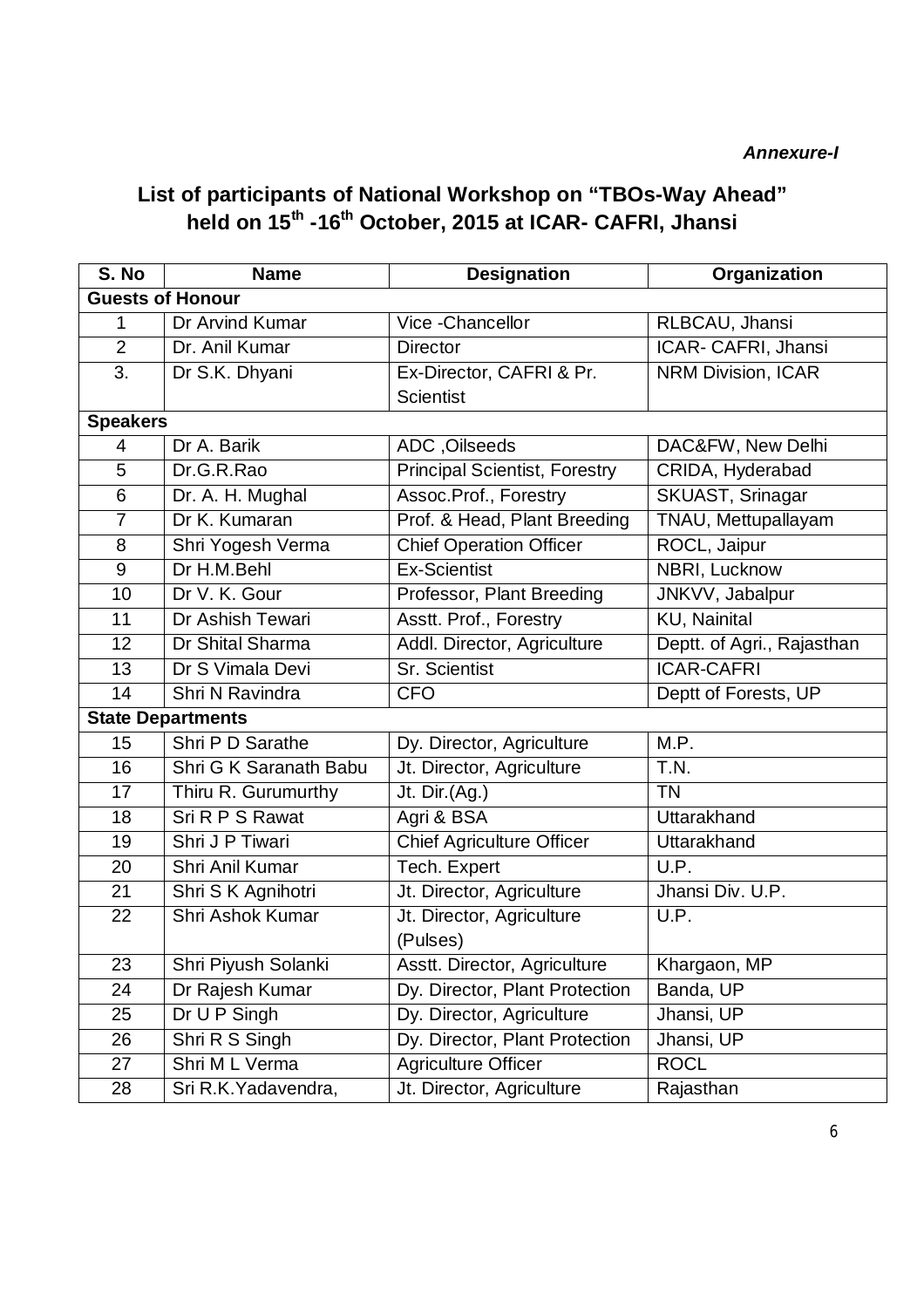### *Annexure-I*

# **List of participants of National Workshop on "TBOs-Way Ahead" held on 15th -16th October, 2015 at ICAR- CAFRI, Jhansi**

| S. No                    | <b>Name</b>             | <b>Designation</b>                           | Organization               |  |  |  |  |
|--------------------------|-------------------------|----------------------------------------------|----------------------------|--|--|--|--|
| <b>Guests of Honour</b>  |                         |                                              |                            |  |  |  |  |
| 1                        | Dr Arvind Kumar         | Vice - Chancellor                            | RLBCAU, Jhansi             |  |  |  |  |
| $\overline{2}$           | Dr. Anil Kumar          | <b>Director</b>                              | ICAR- CAFRI, Jhansi        |  |  |  |  |
| 3.                       | Dr S.K. Dhyani          | Ex-Director, CAFRI & Pr.<br><b>Scientist</b> | <b>NRM Division, ICAR</b>  |  |  |  |  |
| <b>Speakers</b>          |                         |                                              |                            |  |  |  |  |
| 4                        | Dr A. Barik             | ADC, Oilseeds                                | DAC&FW, New Delhi          |  |  |  |  |
| 5                        | Dr.G.R.Rao              | <b>Principal Scientist, Forestry</b>         | CRIDA, Hyderabad           |  |  |  |  |
| 6                        | Dr. A. H. Mughal        | Assoc.Prof., Forestry                        | SKUAST, Srinagar           |  |  |  |  |
| $\overline{7}$           | Dr K. Kumaran           | Prof. & Head, Plant Breeding                 | TNAU, Mettupallayam        |  |  |  |  |
| 8                        | Shri Yogesh Verma       | <b>Chief Operation Officer</b>               | ROCL, Jaipur               |  |  |  |  |
| 9                        | Dr H.M.Behl             | <b>Ex-Scientist</b>                          | NBRI, Lucknow              |  |  |  |  |
| 10                       | Dr V. K. Gour           | Professor, Plant Breeding                    | JNKVV, Jabalpur            |  |  |  |  |
| 11                       | Dr Ashish Tewari        | Asstt. Prof., Forestry                       | <b>KU, Nainital</b>        |  |  |  |  |
| 12                       | Dr Shital Sharma        | Addl. Director, Agriculture                  | Deptt. of Agri., Rajasthan |  |  |  |  |
| 13                       | Dr S Vimala Devi        | <b>Sr. Scientist</b>                         | <b>ICAR-CAFRI</b>          |  |  |  |  |
| 14                       | Shri N Ravindra         | <b>CFO</b>                                   | Deptt of Forests, UP       |  |  |  |  |
| <b>State Departments</b> |                         |                                              |                            |  |  |  |  |
| 15                       | Shri P D Sarathe        | Dy. Director, Agriculture                    | M.P.                       |  |  |  |  |
| 16                       | Shri G K Saranath Babu  | Jt. Director, Agriculture                    | T.N.                       |  |  |  |  |
| 17                       | Thiru R. Gurumurthy     | Jt. Dir.(Ag.)                                | <b>TN</b>                  |  |  |  |  |
| 18                       | Sri R P S Rawat         | Agri & BSA                                   | Uttarakhand                |  |  |  |  |
| 19                       | Shri J P Tiwari         | <b>Chief Agriculture Officer</b>             | Uttarakhand                |  |  |  |  |
| 20                       | Shri Anil Kumar         | Tech. Expert                                 | U.P.                       |  |  |  |  |
| 21                       | Shri S K Agnihotri      | Jt. Director, Agriculture                    | Jhansi Div. U.P.           |  |  |  |  |
| 22                       | <b>Shri Ashok Kumar</b> | Jt. Director, Agriculture                    | U.P.                       |  |  |  |  |
|                          |                         | (Pulses)                                     |                            |  |  |  |  |
| 23                       | Shri Piyush Solanki     | Asstt. Director, Agriculture                 | Khargaon, MP               |  |  |  |  |
| 24                       | Dr Rajesh Kumar         | Dy. Director, Plant Protection               | Banda, UP                  |  |  |  |  |
| 25                       | Dr U P Singh            | Dy. Director, Agriculture                    | Jhansi, UP                 |  |  |  |  |
| 26                       | Shri R S Singh          | Dy. Director, Plant Protection               | Jhansi, UP                 |  |  |  |  |
| 27                       | Shri M L Verma          | <b>Agriculture Officer</b>                   | <b>ROCL</b>                |  |  |  |  |
| 28                       | Sri R.K. Yadavendra,    | Jt. Director, Agriculture                    | Rajasthan                  |  |  |  |  |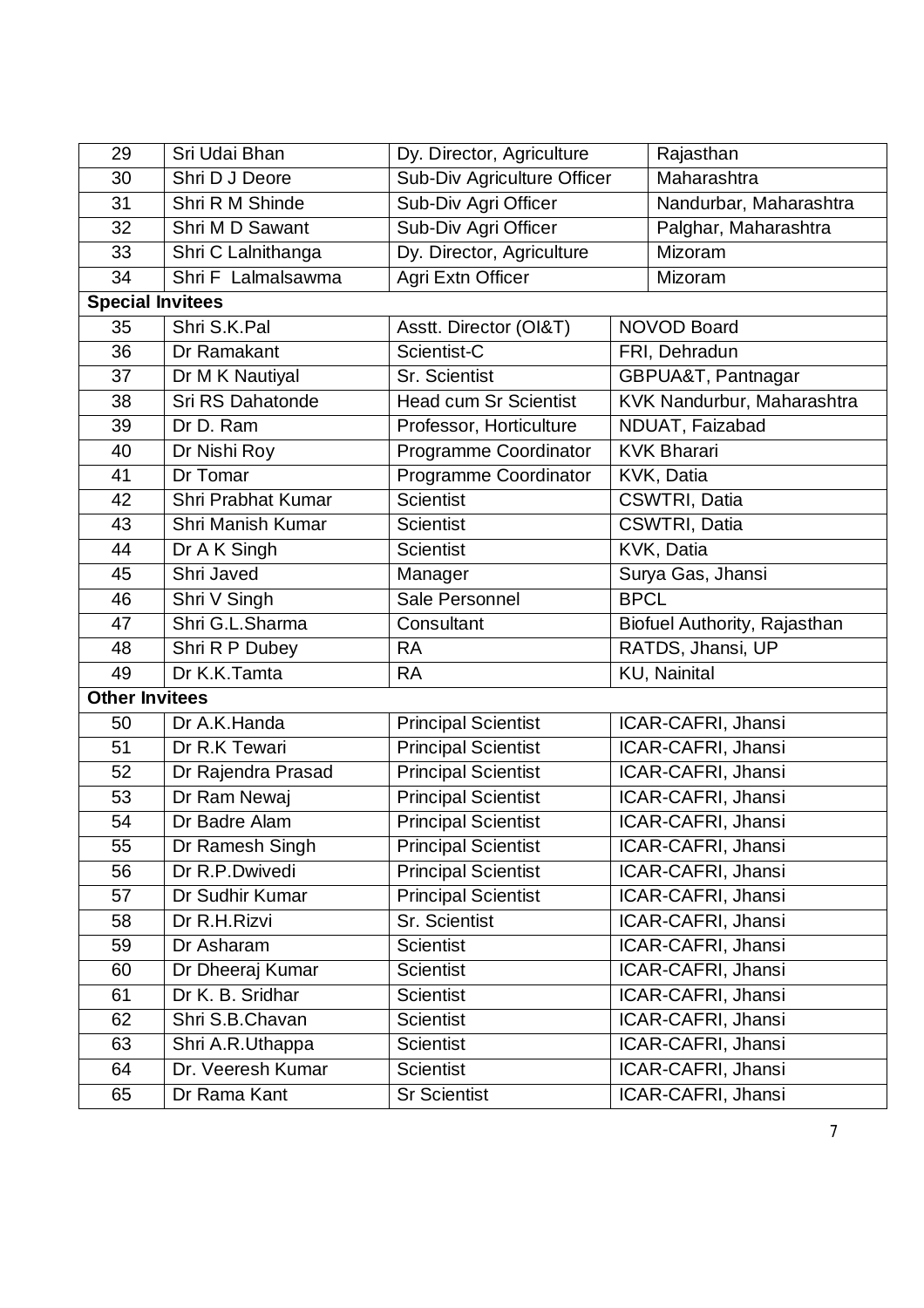| 29                      | Sri Udai Bhan             | Dy. Director, Agriculture    |                              | Rajasthan              |  |  |
|-------------------------|---------------------------|------------------------------|------------------------------|------------------------|--|--|
| 30                      | Shri D J Deore            | Sub-Div Agriculture Officer  |                              | Maharashtra            |  |  |
| 31                      | Shri R M Shinde           | Sub-Div Agri Officer         |                              | Nandurbar, Maharashtra |  |  |
| 32                      | Shri M D Sawant           | Sub-Div Agri Officer         |                              | Palghar, Maharashtra   |  |  |
| 33                      | Shri C Lalnithanga        | Dy. Director, Agriculture    |                              | Mizoram                |  |  |
| 34                      | Shri F Lalmalsawma        | Agri Extn Officer            |                              | Mizoram                |  |  |
| <b>Special Invitees</b> |                           |                              |                              |                        |  |  |
| 35                      | Shri S.K.Pal              | Asstt. Director (OI&T)       | <b>NOVOD Board</b>           |                        |  |  |
| 36                      | Dr Ramakant               | Scientist-C                  | FRI, Dehradun                |                        |  |  |
| 37                      | Dr M K Nautiyal           | Sr. Scientist                | GBPUA&T, Pantnagar           |                        |  |  |
| 38                      | Sri RS Dahatonde          | <b>Head cum Sr Scientist</b> | KVK Nandurbur, Maharashtra   |                        |  |  |
| 39                      | Dr D. Ram                 | Professor, Horticulture      | NDUAT, Faizabad              |                        |  |  |
| 40                      | Dr Nishi Roy              | Programme Coordinator        | <b>KVK Bharari</b>           |                        |  |  |
| 41                      | Dr Tomar                  | Programme Coordinator        | KVK, Datia                   |                        |  |  |
| 42                      | <b>Shri Prabhat Kumar</b> | <b>Scientist</b>             |                              | CSWTRI, Datia          |  |  |
| 43                      | Shri Manish Kumar         | <b>Scientist</b>             |                              | CSWTRI, Datia          |  |  |
| 44                      | Dr A K Singh              | <b>Scientist</b>             | KVK, Datia                   |                        |  |  |
| 45                      | Shri Javed                | Manager                      |                              | Surya Gas, Jhansi      |  |  |
| 46                      | Shri V Singh              | Sale Personnel               | <b>BPCL</b>                  |                        |  |  |
| 47                      | Shri G.L.Sharma           | Consultant                   | Biofuel Authority, Rajasthan |                        |  |  |
| 48                      | Shri R P Dubey            | <b>RA</b>                    | RATDS, Jhansi, UP            |                        |  |  |
| 49                      | Dr K.K.Tamta              | <b>RA</b>                    | <b>KU, Nainital</b>          |                        |  |  |
| <b>Other Invitees</b>   |                           |                              |                              |                        |  |  |
| 50                      | Dr A.K.Handa              | <b>Principal Scientist</b>   |                              | ICAR-CAFRI, Jhansi     |  |  |
| 51                      | Dr R.K Tewari             | <b>Principal Scientist</b>   | ICAR-CAFRI, Jhansi           |                        |  |  |
| 52                      | Dr Rajendra Prasad        | <b>Principal Scientist</b>   | ICAR-CAFRI, Jhansi           |                        |  |  |
| 53                      | Dr Ram Newaj              | <b>Principal Scientist</b>   | ICAR-CAFRI, Jhansi           |                        |  |  |
| 54                      | Dr Badre Alam             | <b>Principal Scientist</b>   | ICAR-CAFRI, Jhansi           |                        |  |  |
| 55                      | Dr Ramesh Singh           | <b>Principal Scientist</b>   | ICAR-CAFRI, Jhansi           |                        |  |  |
| 56                      | Dr R.P.Dwivedi            | <b>Principal Scientist</b>   | ICAR-CAFRI, Jhansi           |                        |  |  |
| 57                      | Dr Sudhir Kumar           | <b>Principal Scientist</b>   | ICAR-CAFRI, Jhansi           |                        |  |  |
| 58                      | Dr R.H.Rizvi              | Sr. Scientist                | ICAR-CAFRI, Jhansi           |                        |  |  |
| 59                      | Dr Asharam                | <b>Scientist</b>             | ICAR-CAFRI, Jhansi           |                        |  |  |
| 60                      | Dr Dheeraj Kumar          | <b>Scientist</b>             | ICAR-CAFRI, Jhansi           |                        |  |  |
| 61                      | Dr K. B. Sridhar          | <b>Scientist</b>             | ICAR-CAFRI, Jhansi           |                        |  |  |
| 62                      | Shri S.B.Chavan           | <b>Scientist</b>             |                              | ICAR-CAFRI, Jhansi     |  |  |
| 63                      | Shri A.R.Uthappa          | <b>Scientist</b>             | ICAR-CAFRI, Jhansi           |                        |  |  |
| 64                      | Dr. Veeresh Kumar         | <b>Scientist</b>             | ICAR-CAFRI, Jhansi           |                        |  |  |
| 65                      | Dr Rama Kant              | <b>Sr Scientist</b>          |                              | ICAR-CAFRI, Jhansi     |  |  |